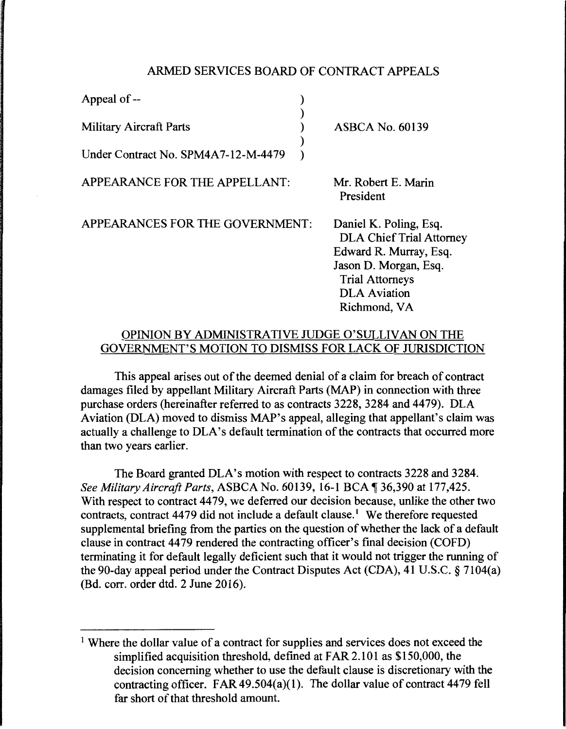## ARMED SERVICES BOARD OF CONTRACT APPEALS

| <b>ASBCA No. 60139</b><br><b>Military Aircraft Parts</b>                                                                                                                                                         |  |
|------------------------------------------------------------------------------------------------------------------------------------------------------------------------------------------------------------------|--|
| Under Contract No. SPM4A7-12-M-4479                                                                                                                                                                              |  |
| Mr. Robert E. Marin<br>APPEARANCE FOR THE APPELLANT:<br>President                                                                                                                                                |  |
| APPEARANCES FOR THE GOVERNMENT:<br>Daniel K. Poling, Esq.<br><b>DLA Chief Trial Attorney</b><br>Edward R. Murray, Esq.<br>Jason D. Morgan, Esq.<br><b>Trial Attorneys</b><br><b>DLA</b> Aviation<br>Richmond, VA |  |

## OPINION BY ADMINISTRATIVE JUDGE O'SULLIVAN ON THE GOVERNMENT'S MOTION TO DISMISS FOR LACK OF JURISDICTION

This appeal arises out of the deemed denial of a claim for breach of contract damages filed by appellant Military Aircraft Parts (MAP) in connection with three purchase orders (hereinafter referred to as contracts 3228, 3284 and 4479). DLA Aviation (DLA) moved to dismiss MAP's appeal, alleging that appellant's claim was actually a challenge to DLA's default termination of the contracts that occurred more than two years earlier.

The Board granted DLA's motion with respect to contracts 3228 and 3284. *See Military Aircraft Parts, ASBCA No. 60139, 16-1 BCA*, 36,390 at 177,425. With respect to contract 4479, we deferred our decision because, unlike the other two contracts, contract 4479 did not include a default clause.<sup>1</sup> We therefore requested supplemental briefing from the parties on the question of whether the lack of a default clause in contract 4479 rendered the contracting officer's final decision (COFD) terminating it for default legally deficient such that it would not trigger the running of the 90-day appeal period under the Contract Disputes Act (CDA), 41 U.S.C. § 7104(a) (Bd. corr. order dtd. 2 June 2016).

<sup>&</sup>lt;sup>1</sup> Where the dollar value of a contract for supplies and services does not exceed the simplified acquisition threshold, defined at FAR 2.101 as \$150,000, the decision concerning whether to use the default clause is discretionary with the contracting officer. FAR  $49.504(a)(1)$ . The dollar value of contract 4479 fell far short of that threshold amount.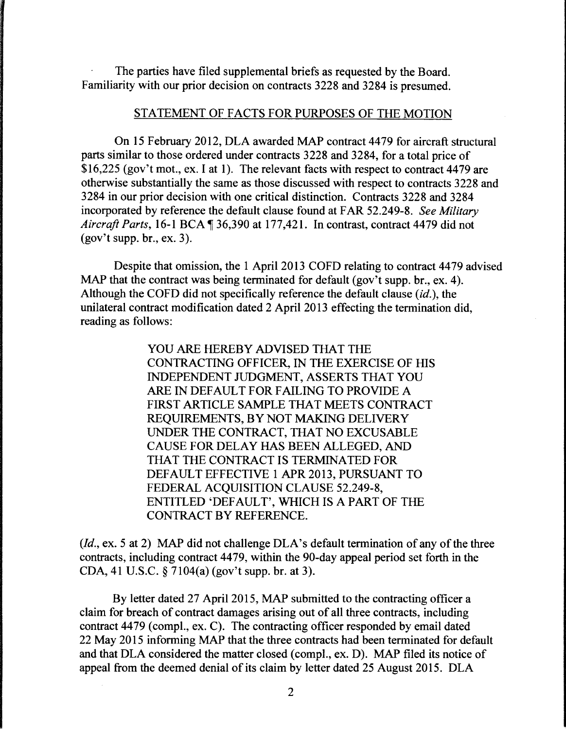The parties have filed supplemental briefs as requested by the Board. Familiarity with our prior decision on contracts 3228 and 3284 is presumed.

## STATEMENT OF FACTS FOR PURPOSES OF THE MOTION

On 15 February 2012, DLA awarded MAP contract 4479 for aircraft structural parts similar to those ordered under contracts 3228 and 3284, for a total price of \$16,225 (gov't mot., ex. I at 1). The relevant facts with respect to contract 4479 are otherwise substantially the same as those discussed with respect to contracts 3228 and 3284 in our prior decision with one critical distinction. Contracts 3228 and 3284 incorporated by reference the default clause found at FAR 52.249-8. *See Military Aircraft Parts, 16-1 BCA* 136,390 at 177,421. In contrast, contract 4479 did not  $(gov't supp, br., ex. 3).$ 

Despite that omission, the 1 April 2013 COFD relating to contract 4479 advised MAP that the contract was being terminated for default (gov't supp. br., ex. 4). Although the COFD did not specifically reference the default clause (id.), the unilateral contract modification dated 2 April 2013 effecting the termination did, reading as follows:

> YOU ARE HEREBY ADVISED THAT THE CONTRACTING OFFICER, IN THE EXERCISE OF HIS INDEPENDENT JUDGMENT, ASSERTS THAT YOU ARE IN DEFAULT FOR FAILING TO PROVIDE A FIRST ARTICLE SAMPLE THAT MEETS CONTRACT REQUIREMENTS, BY NOT MAKING DELIVERY UNDER THE CONTRACT, THAT NO EXCUSABLE CAUSE FOR DELAY HAS BEEN ALLEGED, AND THAT THE CONTRACT IS TERMINATED FOR DEFAULT EFFECTIVE 1 APR 2013, PURSUANT TO FEDERAL ACQUISITION CLAUSE 52.249-8, ENTITLED 'DEFAULT', WHICH IS A PART OF THE CONTRACT BY REFERENCE.

*(Id.,* ex. 5 at 2) MAP did not challenge DLA's default termination of any of the three contracts, including contract 4479, within the 90-day appeal period set forth in the CDA, 41 U.S.C. § 7104(a) (gov't supp. br. at 3).

By letter dated 27 April 2015, MAP submitted to the contracting officer a claim for breach of contract damages arising out of all three contracts, including contract 4479 (compl., ex. C). The contracting officer responded by email dated 22 May 2015 informing MAP that the three contracts had been terminated for default and that DLA considered the matter closed (comp!., ex. D). MAP filed its notice of appeal from the deemed denial of its claim by letter dated 25 August 2015. DLA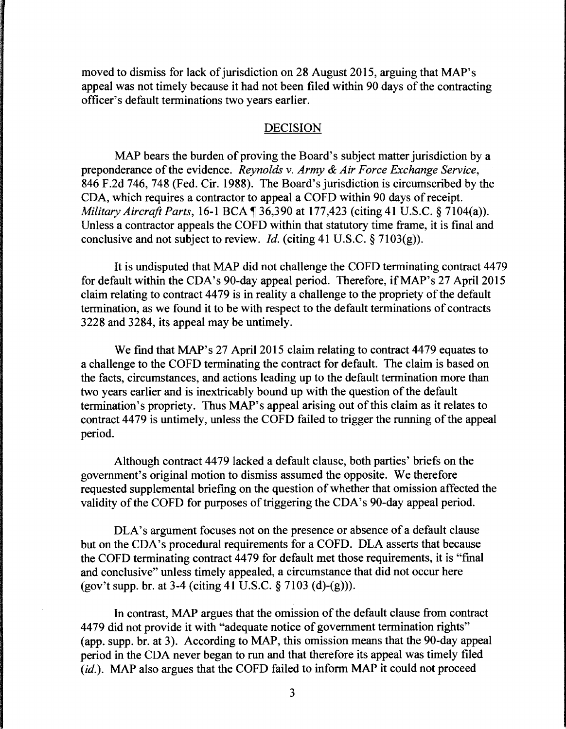moved to dismiss for lack of jurisdiction on 28 August 2015, arguing that MAP's appeal was not timely because it had not been filed within 90 days of the contracting officer's default terminations two years earlier.

## DECISION

MAP bears the burden of proving the Board's subject matter jurisdiction by a preponderance of the evidence. *Reynolds* v. *Army* & *Air Force Exchange Service,*  846 F.2d 746, 748 (Fed. Cir. 1988). The Board's jurisdiction is circumscribed by the CDA, which requires a contractor to appeal a COFD within 90 days of receipt. *Military Aircraft Parts, 16-1 BCA*, 36,390 at 177,423 (citing 41 U.S.C. § 7104(a)). Unless a contractor appeals the COFD within that statutory time frame, it is final and conclusive and not subject to review. *Id.* (citing 41 U.S.C. § 7103(g)).

It is undisputed that MAP did not challenge the COFD terminating contract 4479 for default within the CDA's 90-day appeal period. Therefore, if MAP's 27 April 2015 claim relating to contract 44 79 is in reality a challenge to the propriety of the default termination, as we found it to be with respect to the default terminations of contracts 3228 and 3284, its appeal may be untimely.

We find that MAP's 27 April 2015 claim relating to contract 4479 equates to a challenge to the COFD terminating the contract for default. The claim is based on the facts, circumstances, and actions leading up to the default termination more than two years earlier and is inextricably bound up with the question of the default termination's propriety. Thus MAP's appeal arising out of this claim as it relates to contract 4479 is untimely, unless the COFD failed to trigger the running of the appeal period.

Although contract 4479 lacked a default clause, both parties' briefs on the government's original motion to dismiss assumed the opposite. We therefore requested supplemental briefing on the question of whether that omission affected the validity of the COFD for purposes of triggering the CDA's 90-day appeal period.

DLA's argument focuses not on the presence or absence of a default clause but on the CDA's procedural requirements for a COFD. DLA asserts that because the COFD terminating contract 4479 for default met those requirements, it is "final and conclusive" unless timely appealed, a circumstance that did not occur here (gov't supp. br. at 3-4 (citing 41 U.S.C. § 7103 (d)-(g))).

In contrast, MAP argues that the omission of the default clause from contract 4479 did not provide it with "adequate notice of government termination rights" (app. supp. br. at 3). According to MAP, this omission means that the 90-day appeal period in the CDA never began to run and that therefore its appeal was timely filed (*id*.). MAP also argues that the COFD failed to inform MAP it could not proceed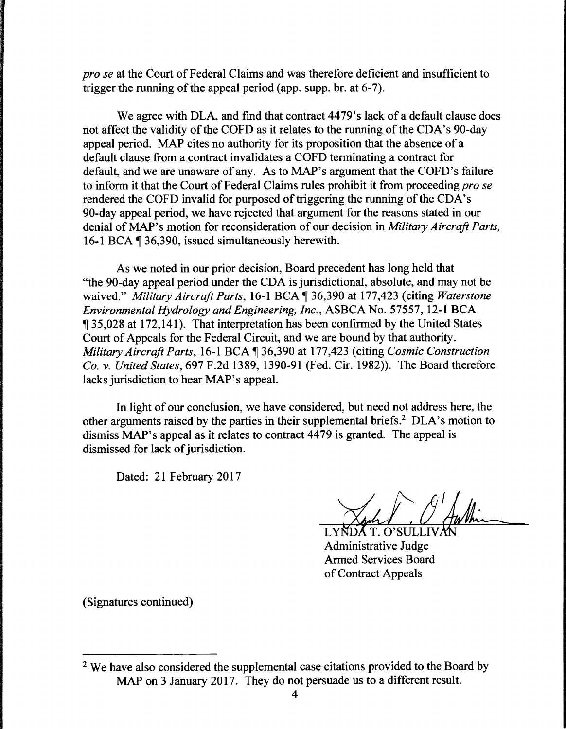*prose* at the Court of Federal Claims and was therefore deficient and insufficient to trigger the running of the appeal period (app. supp. br. at 6-7).

We agree with DLA, and find that contract 4479's lack of a default clause does not affect the validity of the COFD as it relates to the running of the CDA's 90-day appeal period. MAP cites no authority for its proposition that the absence of a default clause from a contract invalidates a COFD terminating a contract for default, and we are unaware of any. As to MAP's argument that the COFD's failure to inform it that the Court of Federal Claims rules prohibit it from proceeding *pro se*  rendered the COFD invalid for purposed of triggering the running of the CDA's 90-day appeal period, we have rejected that argument for the reasons stated in our denial ofMAP's motion for reconsideration of our decision in *Military Aircraft Parts,*  16-1 BCA ¶ 36,390, issued simultaneously herewith.

As we noted in our prior decision, Board precedent has long held that "the 90-day appeal period under the CDA is jurisdictional, absolute, and may not be waived." *Military Aircraft Parts,* 16-1BCA~36,390 at 177,423 (citing *Waterstone Environmental Hydrology and Engineering, Inc.,* ASBCA No. 57557, 12-1 BCA <sup>~</sup>35,028 at 172, 141 ). That interpretation has been confirmed by the United States Court of Appeals for the Federal Circuit, and we are bound by that authority. *Military Aircraft Parts,* 16-1BCA~36,390 at 177,423 (citing *Cosmic Construction Co. v. United States,* 697 F.2d 1389, 1390-91 (Fed. Cir. 1982)). The Board therefore lacks jurisdiction to hear MAP's appeal.

In light of our conclusion, we have considered, but need not address here, the other arguments raised by the parties in their supplemental briefs.2 DLA's motion to dismiss MAP's appeal as it relates to contract 4479 is granted. The appeal is dismissed for lack of jurisdiction.

Dated: 21 February 2017

LYNDAT. O'SULLIVAN

Administrative Armed Services Board of Contract Appeals

(Signatures continued)

<sup>&</sup>lt;sup>2</sup> We have also considered the supplemental case citations provided to the Board by MAP on 3 January 2017. They do not persuade us to a different result.